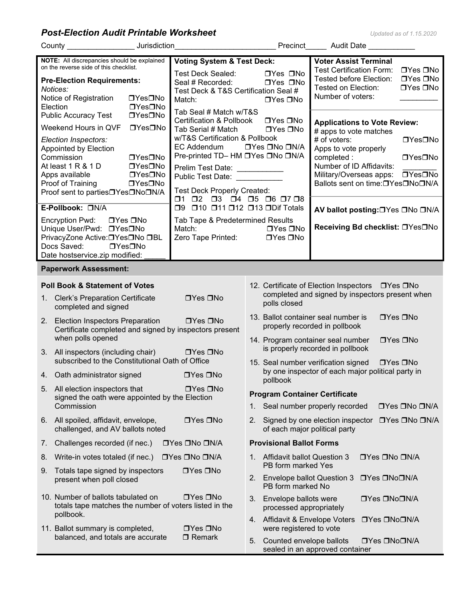**Post-Election Audit Printable Worksheet** 

|  |  | Updated as of 1.15.2020 |  |  |  |  |
|--|--|-------------------------|--|--|--|--|
|  |  |                         |  |  |  |  |

|                                                                                                  | County Jurisdiction                                                                                                                                                                                                                                                                                                                 |                                                                                                                                                                                                                                                                                                                                                       | Precinct Audit Date                                                                                                                                                                                                                                                                                                                                    |  |  |  |  |
|--------------------------------------------------------------------------------------------------|-------------------------------------------------------------------------------------------------------------------------------------------------------------------------------------------------------------------------------------------------------------------------------------------------------------------------------------|-------------------------------------------------------------------------------------------------------------------------------------------------------------------------------------------------------------------------------------------------------------------------------------------------------------------------------------------------------|--------------------------------------------------------------------------------------------------------------------------------------------------------------------------------------------------------------------------------------------------------------------------------------------------------------------------------------------------------|--|--|--|--|
|                                                                                                  | NOTE: All discrepancies should be explained<br>on the reverse side of this checklist.<br><b>Pre-Election Requirements:</b><br>Notices:<br>Notice of Registration<br>□Yes□No<br>□Yes□No<br>Election                                                                                                                                  | <b>Voting System &amp; Test Deck:</b><br>Test Deck Sealed:<br>Seal # Recorded:<br>Test Deck & T&S Certification Seal #<br>Match:                                                                                                                                                                                                                      | <b>Voter Assist Terminal</b><br><b>Test Certification Form:</b><br>$\Box$ Yes $\Box$ No<br>□Yes □No<br>Tested before Election:<br>$\Box$ Yes $\Box$ No<br>□Yes □No<br>Tested on Election:<br>$\Box$ Yes $\Box$ No<br>Number of voters:<br>$\Box$ Yes $\Box$ No                                                                                         |  |  |  |  |
|                                                                                                  | <b>Public Accuracy Test</b><br>□Yes□No<br>Weekend Hours in QVF<br>□Yes□No<br>Election Inspectors:<br>Appointed by Election<br>□Yes□No<br>Commission<br>At least 1 R & 1 D<br>□Yes□No<br>Apps available<br>□Yes□No<br>Proof of Training<br>□Yes□No<br>Proof sent to parties <sup>I</sup> Yes <sup>INo</sup> IN/A<br>E-Pollbook: ON/A | Tab Seal # Match w/T&S<br><b>Certification &amp; Pollbook</b><br>Tab Serial # Match<br>w/T&S Certification & Pollbook<br>EC Addendum<br>Pre-printed TD- HM DYes DNo DN/A<br>Prelim Test Date: ___________<br>Public Test Date: National Public Test Date:<br>Test Deck Properly Created:<br>01 02 03 04 05 06 07 08<br>□9 □10 □11 □12 □13 □Dif Totals | $\Box$ Yes $\Box$ No<br><b>Applications to Vote Review:</b><br>$\Box$ Yes $\Box$ No<br># apps to vote matches<br>□Yes□No<br># of voters:<br>□Yes □No □N/A<br>Apps to vote properly<br>□Yes□No<br>completed :<br>Number of ID Affidavits:<br>□Yes□No<br>Military/Overseas apps:<br>Ballots sent on time:□Yes□No□N/A<br>AV ballot posting: OYes ONo ON/A |  |  |  |  |
|                                                                                                  | Encryption Pwd: □Yes □No<br>Unique User/Pwd: □Yes□No<br>PrivacyZone Active: OYes ONo OBL<br>Docs Saved:<br>$\Box$ Yes $\Box$ No<br>Date hostservice.zip modified:                                                                                                                                                                   | Tab Tape & Predetermined Results<br>Match:<br>Zero Tape Printed:                                                                                                                                                                                                                                                                                      | Receiving Bd checklist: □Yes□No<br>$\Box$ Yes $\Box$ No<br>$\Box$ Yes $\Box$ No                                                                                                                                                                                                                                                                        |  |  |  |  |
|                                                                                                  | <b>Paperwork Assessment:</b>                                                                                                                                                                                                                                                                                                        |                                                                                                                                                                                                                                                                                                                                                       |                                                                                                                                                                                                                                                                                                                                                        |  |  |  |  |
| $1_{\cdot}$                                                                                      | <b>Poll Book &amp; Statement of Votes</b><br><b>Clerk's Preparation Certificate</b><br>completed and signed                                                                                                                                                                                                                         | $\Box$ Yes $\Box$ No                                                                                                                                                                                                                                                                                                                                  | 12. Certificate of Election Inspectors □ Yes □ No<br>completed and signed by inspectors present when<br>polls closed                                                                                                                                                                                                                                   |  |  |  |  |
| 2.                                                                                               | <b>Election Inspectors Preparation</b><br>Certificate completed and signed by inspectors present<br>when polls opened                                                                                                                                                                                                               | $\Box$ Yes $\Box$ No                                                                                                                                                                                                                                                                                                                                  | 13. Ballot container seal number is<br>$\Box$ Yes $\Box$ No<br>properly recorded in pollbook<br>14. Program container seal number<br>$\Box$ Yes $\Box$ No                                                                                                                                                                                              |  |  |  |  |
|                                                                                                  | 3. All inspectors (including chair)<br>subscribed to the Constitutional Oath of Office                                                                                                                                                                                                                                              | $\Box$ Yes $\Box$ No                                                                                                                                                                                                                                                                                                                                  | is properly recorded in pollbook<br>15. Seal number verification signed □ Yes □ No                                                                                                                                                                                                                                                                     |  |  |  |  |
|                                                                                                  | 4. Oath administrator signed                                                                                                                                                                                                                                                                                                        | $\Box$ Yes $\Box$ No                                                                                                                                                                                                                                                                                                                                  | by one inspector of each major political party in<br>pollbook                                                                                                                                                                                                                                                                                          |  |  |  |  |
| 5.                                                                                               | All election inspectors that<br>signed the oath were appointed by the Election                                                                                                                                                                                                                                                      | □Yes □No                                                                                                                                                                                                                                                                                                                                              | <b>Program Container Certificate</b>                                                                                                                                                                                                                                                                                                                   |  |  |  |  |
|                                                                                                  | Commission                                                                                                                                                                                                                                                                                                                          |                                                                                                                                                                                                                                                                                                                                                       | Seal number properly recorded<br>□Yes □No □N/A<br>1.                                                                                                                                                                                                                                                                                                   |  |  |  |  |
| $\Box$ Yes $\Box$ No<br>6. All spoiled, affidavit, envelope,<br>challenged, and AV ballots noted |                                                                                                                                                                                                                                                                                                                                     |                                                                                                                                                                                                                                                                                                                                                       | Signed by one election inspector □ Yes □ No □ N/A<br>2.<br>of each major political party                                                                                                                                                                                                                                                               |  |  |  |  |
| 7.                                                                                               | Challenges recorded (if nec.)                                                                                                                                                                                                                                                                                                       | □Yes □No □N/A                                                                                                                                                                                                                                                                                                                                         | <b>Provisional Ballot Forms</b>                                                                                                                                                                                                                                                                                                                        |  |  |  |  |
| 8.                                                                                               | Write-in votes totaled (if nec.)                                                                                                                                                                                                                                                                                                    | □Yes □No □N/A                                                                                                                                                                                                                                                                                                                                         | <b>Affidavit ballot Question 3</b><br>□Yes □No □N/A<br>$1_{-}$<br>PB form marked Yes                                                                                                                                                                                                                                                                   |  |  |  |  |
| 9.                                                                                               | Totals tape signed by inspectors<br>present when poll closed                                                                                                                                                                                                                                                                        | □Yes □No                                                                                                                                                                                                                                                                                                                                              | <b>Envelope ballot Question 3</b><br>□Yes □No□N/A<br>2.<br>PB form marked No                                                                                                                                                                                                                                                                           |  |  |  |  |
|                                                                                                  | 10. Number of ballots tabulated on<br>totals tape matches the number of voters listed in the<br>pollbook.                                                                                                                                                                                                                           | $\Box$ Yes $\Box$ No                                                                                                                                                                                                                                                                                                                                  | Envelope ballots were<br>□Yes □No□N/A<br>3.<br>processed appropriately                                                                                                                                                                                                                                                                                 |  |  |  |  |
|                                                                                                  | 11. Ballot summary is completed,                                                                                                                                                                                                                                                                                                    | $\Box$ Yes $\Box$ No                                                                                                                                                                                                                                                                                                                                  | 4. Affidavit & Envelope Voters<br>□Yes □No□N/A<br>were registered to vote                                                                                                                                                                                                                                                                              |  |  |  |  |
|                                                                                                  | balanced, and totals are accurate                                                                                                                                                                                                                                                                                                   | $\Box$ Remark                                                                                                                                                                                                                                                                                                                                         | Counted envelope ballots<br>□Yes □No□N/A<br>5.<br>sealed in an approved container                                                                                                                                                                                                                                                                      |  |  |  |  |